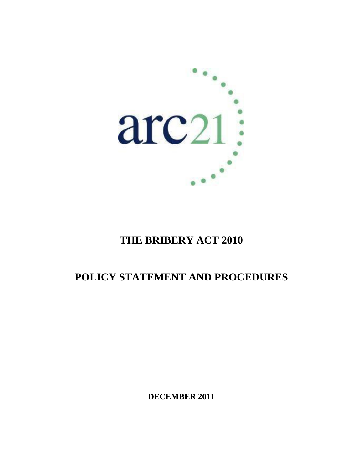

# **THE BRIBERY ACT 2010**

# **POLICY STATEMENT AND PROCEDURES**

**DECEMBER 2011**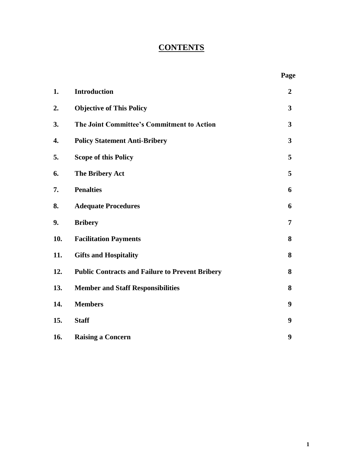# **CONTENTS**

|     |                                                        | Page                    |
|-----|--------------------------------------------------------|-------------------------|
| 1.  | <b>Introduction</b>                                    | $\overline{2}$          |
| 2.  | <b>Objective of This Policy</b>                        | $\mathbf{3}$            |
| 3.  | The Joint Committee's Commitment to Action             | 3                       |
| 4.  | <b>Policy Statement Anti-Bribery</b>                   | $\overline{\mathbf{3}}$ |
| 5.  | <b>Scope of this Policy</b>                            | 5                       |
| 6.  | <b>The Bribery Act</b>                                 | 5                       |
| 7.  | <b>Penalties</b>                                       | 6                       |
| 8.  | <b>Adequate Procedures</b>                             | 6                       |
| 9.  | <b>Bribery</b>                                         | $\overline{7}$          |
| 10. | <b>Facilitation Payments</b>                           | 8                       |
| 11. | <b>Gifts and Hospitality</b>                           | 8                       |
| 12. | <b>Public Contracts and Failure to Prevent Bribery</b> | 8                       |
| 13. | <b>Member and Staff Responsibilities</b>               | 8                       |
| 14. | <b>Members</b>                                         | 9                       |
| 15. | <b>Staff</b>                                           | 9                       |
| 16. | <b>Raising a Concern</b>                               | 9                       |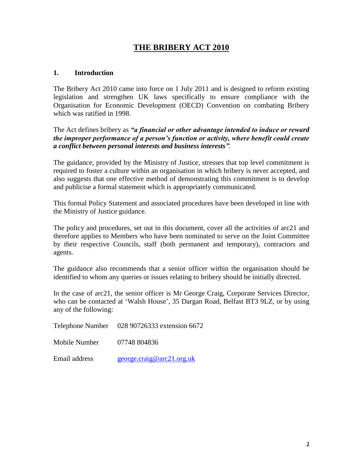# **THE BRIBERY ACT 2010**

#### **1. Introduction**

The Bribery Act 2010 came into force on 1 July 2011 and is designed to reform existing legislation and strengthen UK laws specifically to ensure compliance with the Organisation for Economic Development (OECD) Convention on combating Bribery which was ratified in 1998.

The Act defines bribery as *"a financial or other advantage intended to induce or reward the improper performance of a person's function or activity, where benefit could create a conflict between personal interests and business interests".*

The guidance, provided by the Ministry of Justice, stresses that top level commitment is required to foster a culture within an organisation in which bribery is never accepted, and also suggests that one effective method of demonstrating this commitment is to develop and publicise a formal statement which is appropriately communicated.

This formal Policy Statement and associated procedures have been developed in line with the Ministry of Justice guidance.

The policy and procedures, set out in this document, cover all the activities of arc21 and therefore applies to Members who have been nominated to serve on the Joint Committee by their respective Councils, staff (both permanent and temporary), contractors and agents.

The guidance also recommends that a senior officer within the organisation should be identified to whom any queries or issues relating to bribery should be initially directed.

In the case of arc21, the senior officer is Mr George Craig, Corporate Services Director, who can be contacted at 'Walsh House', 35 Dargan Road, Belfast BT3 9LZ, or by using any of the following:

|               | Telephone Number 028 90726333 extension 6672 |  |
|---------------|----------------------------------------------|--|
| Mobile Number | 07748 804836                                 |  |
| Email address | george.craig@arc21.org.uk                    |  |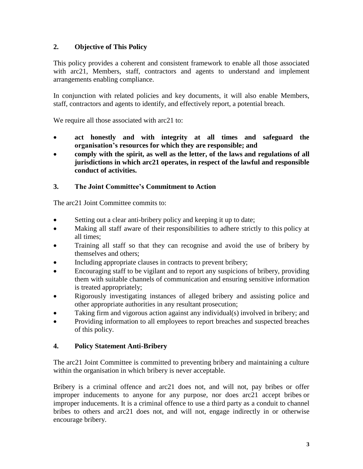# **2. Objective of This Policy**

This policy provides a coherent and consistent framework to enable all those associated with arc21, Members, staff, contractors and agents to understand and implement arrangements enabling compliance.

In conjunction with related policies and key documents, it will also enable Members, staff, contractors and agents to identify, and effectively report, a potential breach.

We require all those associated with arc21 to:

- **act honestly and with integrity at all times and safeguard the organisation's resources for which they are responsible; and**
- **comply with the spirit, as well as the letter, of the laws and regulations of all jurisdictions in which arc21 operates, in respect of the lawful and responsible conduct of activities.**

### **3. The Joint Committee's Commitment to Action**

The arc21 Joint Committee commits to:

- Setting out a clear anti-bribery policy and keeping it up to date;
- Making all staff aware of their responsibilities to adhere strictly to this policy at all times;
- Training all staff so that they can recognise and avoid the use of bribery by themselves and others;
- Including appropriate clauses in contracts to prevent bribery;
- Encouraging staff to be vigilant and to report any suspicions of bribery, providing them with suitable channels of communication and ensuring sensitive information is treated appropriately;
- Rigorously investigating instances of alleged bribery and assisting police and other appropriate authorities in any resultant prosecution;
- Taking firm and vigorous action against any individual(s) involved in bribery; and
- Providing information to all employees to report breaches and suspected breaches of this policy.

#### **4. Policy Statement Anti-Bribery**

The arc21 Joint Committee is committed to preventing bribery and maintaining a culture within the organisation in which bribery is never acceptable.

Bribery is a criminal offence and arc21 does not, and will not, pay bribes or offer improper inducements to anyone for any purpose, nor does arc21 accept bribes or improper inducements. It is a criminal offence to use a third party as a conduit to channel bribes to others and arc21 does not, and will not, engage indirectly in or otherwise encourage bribery.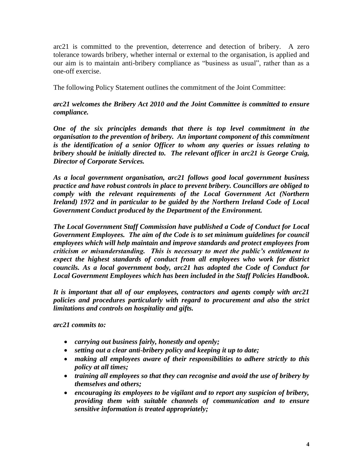arc21 is committed to the prevention, deterrence and detection of bribery. A zero tolerance towards bribery, whether internal or external to the organisation, is applied and our aim is to maintain anti-bribery compliance as "business as usual", rather than as a one-off exercise.

The following Policy Statement outlines the commitment of the Joint Committee:

*arc21 welcomes the Bribery Act 2010 and the Joint Committee is committed to ensure compliance.*

*One of the six principles demands that there is top level commitment in the organisation to the prevention of bribery. An important component of this commitment is the identification of a senior Officer to whom any queries or issues relating to bribery should be initially directed to. The relevant officer in arc21 is George Craig, Director of Corporate Services.*

*As a local government organisation, arc21 follows good local government business practice and have robust controls in place to prevent bribery. Councillors are obliged to comply with the relevant requirements of the Local Government Act (Northern Ireland) 1972 and in particular to be guided by the Northern Ireland Code of Local Government Conduct produced by the Department of the Environment.*

*The Local Government Staff Commission have published a Code of Conduct for Local Government Employees. The aim of the Code is to set minimum guidelines for council employees which will help maintain and improve standards and protect employees from criticism or misunderstanding. This is necessary to meet the public's entitlement to*  expect the highest standards of conduct from all employees who work for district *councils. As a local government body, arc21 has adopted the Code of Conduct for Local Government Employees which has been included in the Staff Policies Handbook.*

*It is important that all of our employees, contractors and agents comply with arc21 policies and procedures particularly with regard to procurement and also the strict limitations and controls on hospitality and gifts.*

*arc21 commits to:*

- *carrying out business fairly, honestly and openly;*
- *setting out a clear anti-bribery policy and keeping it up to date;*
- *making all employees aware of their responsibilities to adhere strictly to this policy at all times;*
- *training all employees so that they can recognise and avoid the use of bribery by themselves and others;*
- *encouraging its employees to be vigilant and to report any suspicion of bribery, providing them with suitable channels of communication and to ensure sensitive information is treated appropriately;*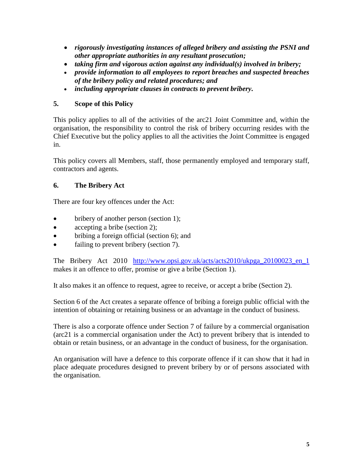- *rigorously investigating instances of alleged bribery and assisting the PSNI and other appropriate authorities in any resultant prosecution;*
- *taking firm and vigorous action against any individual(s) involved in bribery;*
- *provide information to all employees to report breaches and suspected breaches of the bribery policy and related procedures; and*
- *including appropriate clauses in contracts to prevent bribery.*

# **5. Scope of this Policy**

This policy applies to all of the activities of the arc21 Joint Committee and, within the organisation, the responsibility to control the risk of bribery occurring resides with the Chief Executive but the policy applies to all the activities the Joint Committee is engaged in.

This policy covers all Members, staff, those permanently employed and temporary staff, contractors and agents.

### **6. The Bribery Act**

There are four key offences under the Act:

- bribery of another person (section 1);
- accepting a bribe (section 2);
- bribing a foreign official (section 6); and
- failing to prevent bribery (section 7).

The Bribery Act 2010 [http://www.opsi.gov.uk/acts/acts2010/ukpga\\_20100023\\_en\\_1](http://www.opsi.gov.uk/acts/acts2010/ukpga_20100023_en_1) makes it an offence to offer, promise or give a bribe (Section 1).

It also makes it an offence to request, agree to receive, or accept a bribe (Section 2).

Section 6 of the Act creates a separate offence of bribing a foreign public official with the intention of obtaining or retaining business or an advantage in the conduct of business.

There is also a corporate offence under Section 7 of failure by a commercial organisation (arc21 is a commercial organisation under the Act) to prevent bribery that is intended to obtain or retain business, or an advantage in the conduct of business, for the organisation.

An organisation will have a defence to this corporate offence if it can show that it had in place adequate procedures designed to prevent bribery by or of persons associated with the organisation.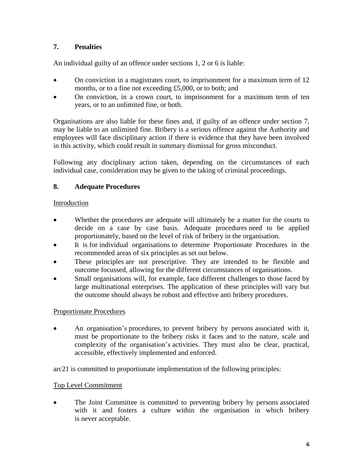# **7. Penalties**

An individual guilty of an offence under sections 1, 2 or 6 is liable:

- On conviction in a magistrates court, to imprisonment for a maximum term of 12 months, or to a fine not exceeding £5,000, or to both; and
- On conviction, in a crown court, to imprisonment for a maximum term of ten years, or to an unlimited fine, or both.

Organisations are also liable for these fines and, if guilty of an offence under section 7, may be liable to an unlimited fine. Bribery is a serious offence against the Authority and employees will face disciplinary action if there is evidence that they have been involved in this activity, which could result in summary dismissal for gross misconduct.

Following any disciplinary action taken, depending on the circumstances of each individual case, consideration may be given to the taking of criminal proceedings.

### **8. Adequate Procedures**

#### Introduction

- Whether the procedures are adequate will ultimately be a matter for the courts to decide on a case by case basis. Adequate procedures need to be applied proportionately, based on the level of risk of bribery in the organisation.
- It is for individual organisations to determine Proportionate Procedures in the recommended areas of six principles as set out below.
- These principles are not prescriptive. They are intended to be flexible and outcome focussed, allowing for the different circumstances of organisations.
- Small organisations will, for example, face different challenges to those faced by large multinational enterprises. The application of these principles will vary but the outcome should always be robust and effective anti bribery procedures.

#### Proportionate Procedures

 An organisation"s procedures, to prevent bribery by persons associated with it, must be proportionate to the bribery risks it faces and to the nature, scale and complexity of the organisation"s activities. They must also be clear, practical, accessible, effectively implemented and enforced.

arc21 is committed to proportionate implementation of the following principles:

#### Top Level Commitment

 The Joint Committee is committed to preventing bribery by persons associated with it and fosters a culture within the organisation in which bribery is never acceptable.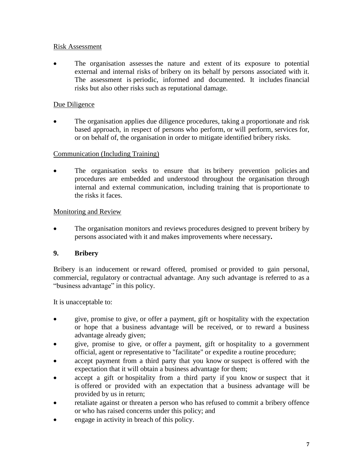#### Risk Assessment

 The organisation assesses the nature and extent of its exposure to potential external and internal risks of bribery on its behalf by persons associated with it. The assessment is periodic, informed and documented. It includes financial risks but also other risks such as reputational damage.

#### Due Diligence

 The organisation applies due diligence procedures, taking a proportionate and risk based approach, in respect of persons who perform, or will perform, services for, or on behalf of, the organisation in order to mitigate identified bribery risks.

#### Communication (Including Training)

 The organisation seeks to ensure that its bribery prevention policies and procedures are embedded and understood throughout the organisation through internal and external communication, including training that is proportionate to the risks it faces.

#### Monitoring and Review

• The organisation monitors and reviews procedures designed to prevent bribery by persons associated with it and makes improvements where necessary**.**

#### **9. Bribery**

Bribery is an inducement or reward offered, promised or provided to gain personal, commercial, regulatory or contractual advantage. Any such advantage is referred to as a "business advantage" in this policy.

It is unacceptable to:

- give, promise to give, or offer a payment, gift or hospitality with the expectation or hope that a business advantage will be received, or to reward a business advantage already given;
- give, promise to give, or offer a payment, gift or hospitality to a government official, agent or representative to "facilitate" or expedite a routine procedure;
- accept payment from a third party that you know or suspect is offered with the expectation that it will obtain a business advantage for them;
- accept a gift or hospitality from a third party if you know or suspect that it is offered or provided with an expectation that a business advantage will be provided by us in return;
- retaliate against or threaten a person who has refused to commit a bribery offence or who has raised concerns under this policy; and
- engage in activity in breach of this policy.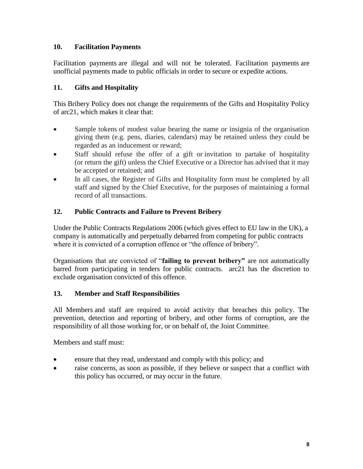# **10. Facilitation Payments**

Facilitation payments are illegal and will not be tolerated. Facilitation payments are unofficial payments made to public officials in order to secure or expedite actions.

# **11. Gifts and Hospitality**

This Bribery Policy does not change the requirements of the Gifts and Hospitality Policy of arc21, which makes it clear that:

- Sample tokens of modest value bearing the name or insignia of the organisation giving them (e.g. pens, diaries, calendars) may be retained unless they could be regarded as an inducement or reward;
- Staff should refuse the offer of a gift or invitation to partake of hospitality (or return the gift) unless the Chief Executive or a Director has advised that it may be accepted or retained; and
- In all cases, the Register of Gifts and Hospitality form must be completed by all staff and signed by the Chief Executive, for the purposes of maintaining a formal record of all transactions.

# **12. Public Contracts and Failure to Prevent Bribery**

Under the Public Contracts Regulations 2006 (which gives effect to EU law in the UK), a company is automatically and perpetually debarred from competing for public contracts where it is convicted of a corruption offence or "the offence of bribery".

Organisations that are convicted of "**failing to prevent bribery"** are not automatically barred from participating in tenders for public contracts. arc21 has the discretion to exclude organisation convicted of this offence.

# **13. Member and Staff Responsibilities**

All Members and staff are required to avoid activity that breaches this policy. The prevention, detection and reporting of bribery, and other forms of corruption, are the responsibility of all those working for, or on behalf of, the Joint Committee.

Members and staff must:

- ensure that they read, understand and comply with this policy; and
- raise concerns, as soon as possible, if they believe or suspect that a conflict with this policy has occurred, or may occur in the future.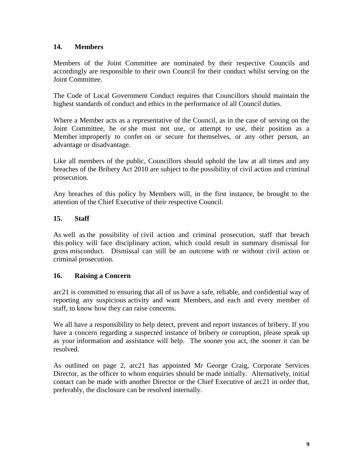#### **14. Members**

Members of the Joint Committee are nominated by their respective Councils and accordingly are responsible to their own Council for their conduct whilst serving on the Joint Committee.

The Code of Local Government Conduct requires that Councillors should maintain the highest standards of conduct and ethics in the performance of all Council duties.

Where a Member acts as a representative of the Council, as in the case of serving on the Joint Committee, he or she must not use, or attempt to use, their position as a Member improperly to confer on or secure for themselves, or any other person, an advantage or disadvantage.

Like all members of the public, Councillors should uphold the law at all times and any breaches of the Bribery Act 2010 are subject to the possibility of civil action and criminal prosecution.

Any breaches of this policy by Members will, in the first instance, be brought to the attention of the Chief Executive of their respective Council.

### **15. Staff**

As well as the possibility of civil action and criminal prosecution, staff that breach this policy will face disciplinary action, which could result in summary dismissal for gross misconduct. Dismissal can still be an outcome with or without civil action or criminal prosecution.

#### **16. Raising a Concern**

arc21 is committed to ensuring that all of us have a safe, reliable, and confidential way of reporting any suspicious activity and want Members, and each and every member of staff, to know how they can raise concerns.

We all have a responsibility to help detect, prevent and report instances of bribery. If you have a concern regarding a suspected instance of bribery or corruption, please speak up as your information and assistance will help. The sooner you act, the sooner it can be resolved.

As outlined on page 2, arc21 has appointed Mr George Craig, Corporate Services Director, as the officer to whom enquiries should be made initially. Alternatively, initial contact can be made with another Director or the Chief Executive of arc21 in order that, preferably, the disclosure can be resolved internally.